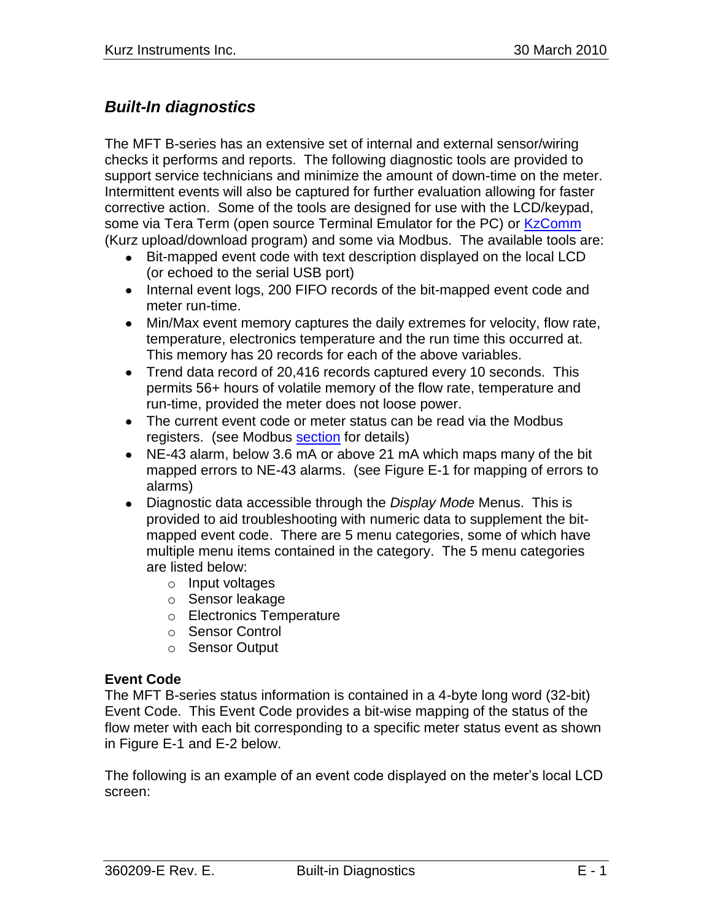# *Built-In diagnostics*

The MFT B-series has an extensive set of internal and external sensor/wiring checks it performs and reports. The following diagnostic tools are provided to support service technicians and minimize the amount of down-time on the meter. Intermittent events will also be captured for further evaluation allowing for faster corrective action. Some of the tools are designed for use with the LCD/keypad, some via Tera Term (open source Terminal Emulator for the PC) or [KzComm](280128%20%20KzComm%20Users%20Guide.pdf) (Kurz upload/download program) and some via Modbus. The available tools are:

- Bit-mapped event code with text description displayed on the local LCD (or echoed to the serial USB port)
- Internal event logs, 200 FIFO records of the bit-mapped event code and meter run-time.
- Min/Max event memory captures the daily extremes for velocity, flow rate, temperature, electronics temperature and the run time this occurred at. This memory has 20 records for each of the above variables.
- Trend data record of 20,416 records captured every 10 seconds. This permits 56+ hours of volatile memory of the flow rate, temperature and run-time, provided the meter does not loose power.
- The current event code or meter status can be read via the Modbus registers. (see Modbus [section](360209-U%20Customer%20Modbus%20Registers.pdf) for details)
- NE-43 alarm, below 3.6 mA or above 21 mA which maps many of the bit mapped errors to NE-43 alarms. (see Figure E-1 for mapping of errors to alarms)
- Diagnostic data accessible through the *Display Mode* Menus. This is provided to aid troubleshooting with numeric data to supplement the bitmapped event code. There are 5 menu categories, some of which have multiple menu items contained in the category. The 5 menu categories are listed below:
	- o Input voltages
	- o Sensor leakage
	- o Electronics Temperature
	- o Sensor Control
	- o Sensor Output

#### **Event Code**

The MFT B-series status information is contained in a 4-byte long word (32-bit) Event Code. This Event Code provides a bit-wise mapping of the status of the flow meter with each bit corresponding to a specific meter status event as shown in Figure E-1 and E-2 below.

The following is an example of an event code displayed on the meter"s local LCD screen: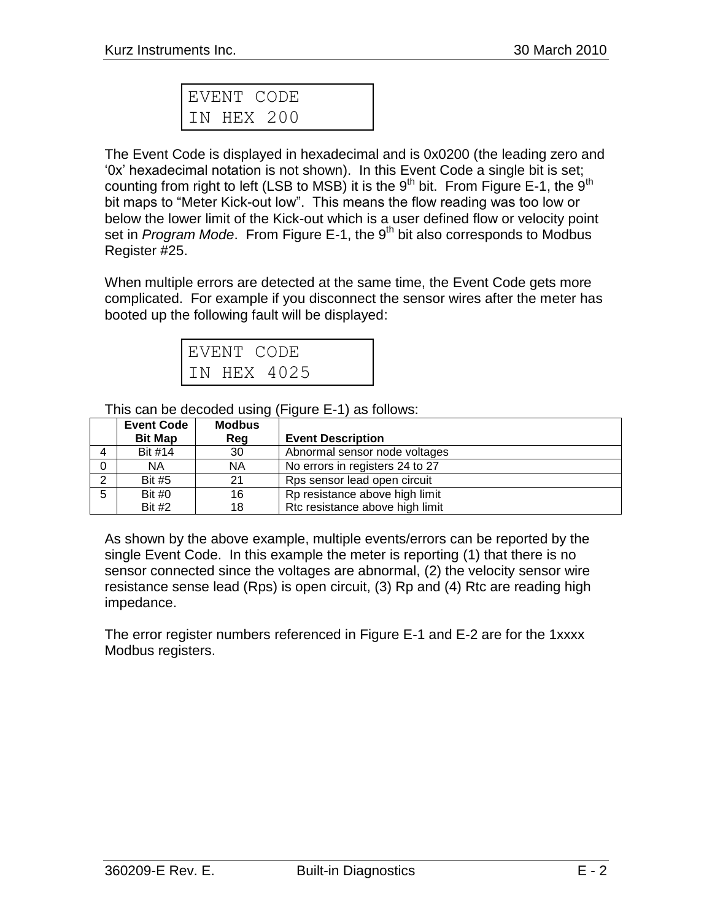| EVENT CODE |  |  |
|------------|--|--|
| HEX 200    |  |  |

The Event Code is displayed in hexadecimal and is 0x0200 (the leading zero and "0x" hexadecimal notation is not shown). In this Event Code a single bit is set; counting from right to left (LSB to MSB) it is the  $9<sup>th</sup>$  bit. From Figure E-1, the  $9<sup>th</sup>$ bit maps to "Meter Kick-out low". This means the flow reading was too low or below the lower limit of the Kick-out which is a user defined flow or velocity point set in *Program Mode*. From Figure E-1, the 9<sup>th</sup> bit also corresponds to Modbus Register #25.

When multiple errors are detected at the same time, the Event Code gets more complicated. For example if you disconnect the sensor wires after the meter has booted up the following fault will be displayed:

| EVENT CODE |             |  |
|------------|-------------|--|
|            | TN HEX 4025 |  |

This can be decoded using (Figure E-1) as follows:

|   | <b>Event Code</b> | <b>Modbus</b> |                                 |
|---|-------------------|---------------|---------------------------------|
|   | <b>Bit Map</b>    | Reg           | <b>Event Description</b>        |
|   | Bit #14           | 30            | Abnormal sensor node voltages   |
|   | <b>NA</b>         | ΝA            | No errors in registers 24 to 27 |
| ◠ | <b>Bit #5</b>     | 21            | Rps sensor lead open circuit    |
| 5 | Bit $#0$          | 16            | Rp resistance above high limit  |
|   | <b>Bit #2</b>     | 18            | Rtc resistance above high limit |

As shown by the above example, multiple events/errors can be reported by the single Event Code. In this example the meter is reporting (1) that there is no sensor connected since the voltages are abnormal, (2) the velocity sensor wire resistance sense lead (Rps) is open circuit, (3) Rp and (4) Rtc are reading high impedance.

The error register numbers referenced in Figure E-1 and E-2 are for the 1xxxx Modbus registers.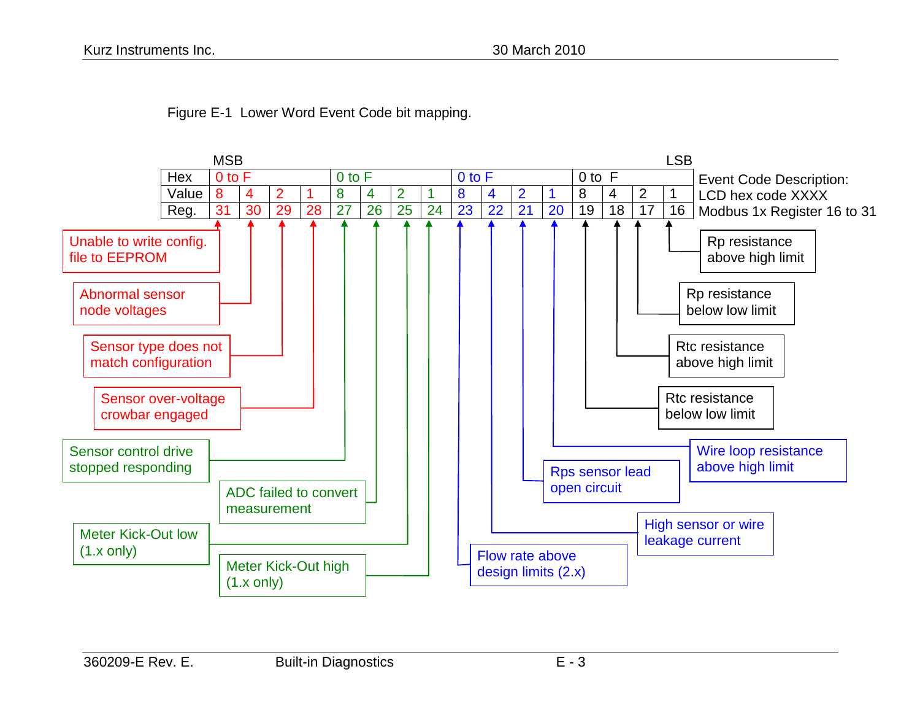

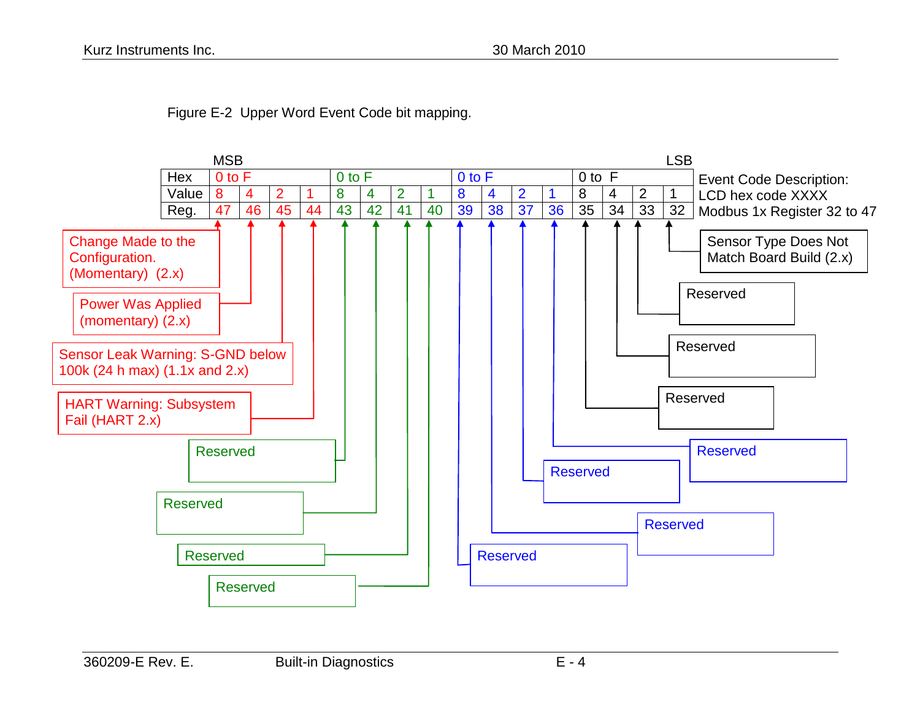

Figure E-2 Upper Word Event Code bit mapping.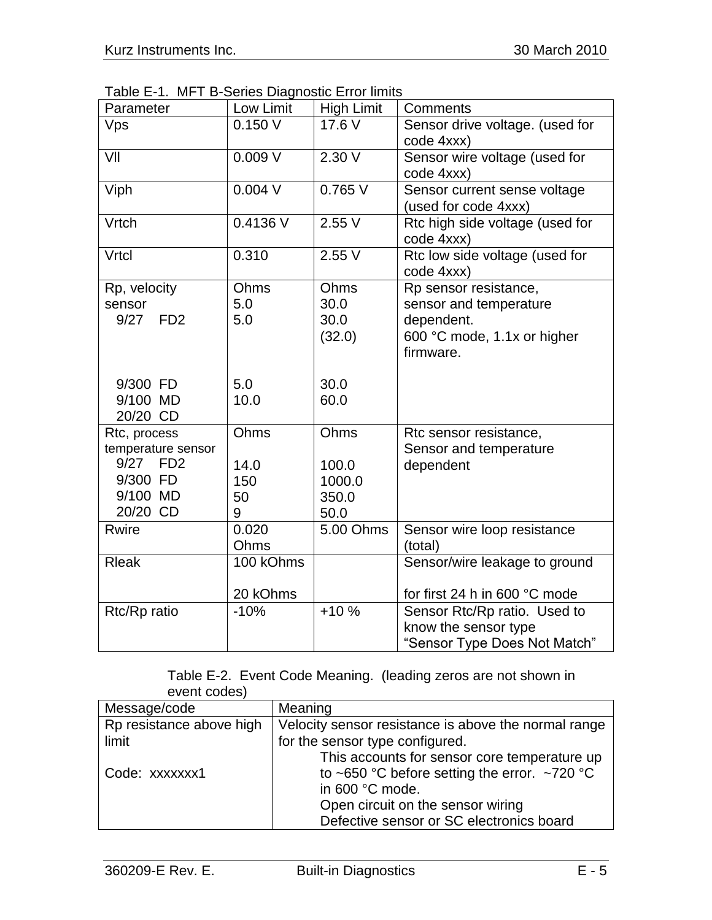Table E-1. MFT B-Series Diagnostic Error limits

| Parameter                                                                          | Low Limit                      | <b>High Limit</b>                        | Comments                                                                                                  |
|------------------------------------------------------------------------------------|--------------------------------|------------------------------------------|-----------------------------------------------------------------------------------------------------------|
| Vps                                                                                | 0.150V                         | 17.6 V                                   | Sensor drive voltage. (used for<br>code 4xxx)                                                             |
| VII                                                                                | 0.009V                         | $2.30 \sqrt{ }$                          | Sensor wire voltage (used for<br>code 4xxx)                                                               |
| Viph                                                                               | $0.004$ V                      | 0.765V                                   | Sensor current sense voltage<br>(used for code 4xxx)                                                      |
| Vrtch                                                                              | 0.4136 V                       | 2.55V                                    | Rtc high side voltage (used for<br>code 4xxx)                                                             |
| Vrtcl                                                                              | 0.310                          | 2.55V                                    | Rtc low side voltage (used for<br>code 4xxx)                                                              |
| Rp, velocity<br>sensor<br>9/27<br>F <sub>D</sub> <sub>2</sub>                      | Ohms<br>5.0<br>5.0             | Ohms<br>30.0<br>30.0<br>(32.0)           | Rp sensor resistance,<br>sensor and temperature<br>dependent.<br>600 °C mode, 1.1x or higher<br>firmware. |
| 9/300 FD<br>9/100 MD<br>20/20 CD                                                   | 5.0<br>10.0                    | 30.0<br>60.0                             |                                                                                                           |
| Rtc, process<br>temperature sensor<br>9/27 FD2<br>9/300 FD<br>9/100 MD<br>20/20 CD | Ohms<br>14.0<br>150<br>50<br>9 | Ohms<br>100.0<br>1000.0<br>350.0<br>50.0 | Rtc sensor resistance,<br>Sensor and temperature<br>dependent                                             |
| <b>Rwire</b>                                                                       | 0.020<br>Ohms                  | 5.00 Ohms                                | Sensor wire loop resistance<br>(total)                                                                    |
| <b>Rleak</b>                                                                       | 100 kOhms<br>20 kOhms          |                                          | Sensor/wire leakage to ground<br>for first 24 h in 600 °C mode                                            |
| Rtc/Rp ratio                                                                       | $-10%$                         | $+10%$                                   | Sensor Rtc/Rp ratio. Used to<br>know the sensor type<br>"Sensor Type Does Not Match"                      |

#### Table E-2. Event Code Meaning. (leading zeros are not shown in event codes)

| Message/code             | Meaning                                              |  |
|--------------------------|------------------------------------------------------|--|
| Rp resistance above high | Velocity sensor resistance is above the normal range |  |
| limit                    | for the sensor type configured.                      |  |
|                          | This accounts for sensor core temperature up         |  |
| Code: xxxxxxx1           | to ~650 °C before setting the error. ~720 °C         |  |
|                          | in 600 °C mode.                                      |  |
|                          | Open circuit on the sensor wiring                    |  |
|                          | Defective sensor or SC electronics board             |  |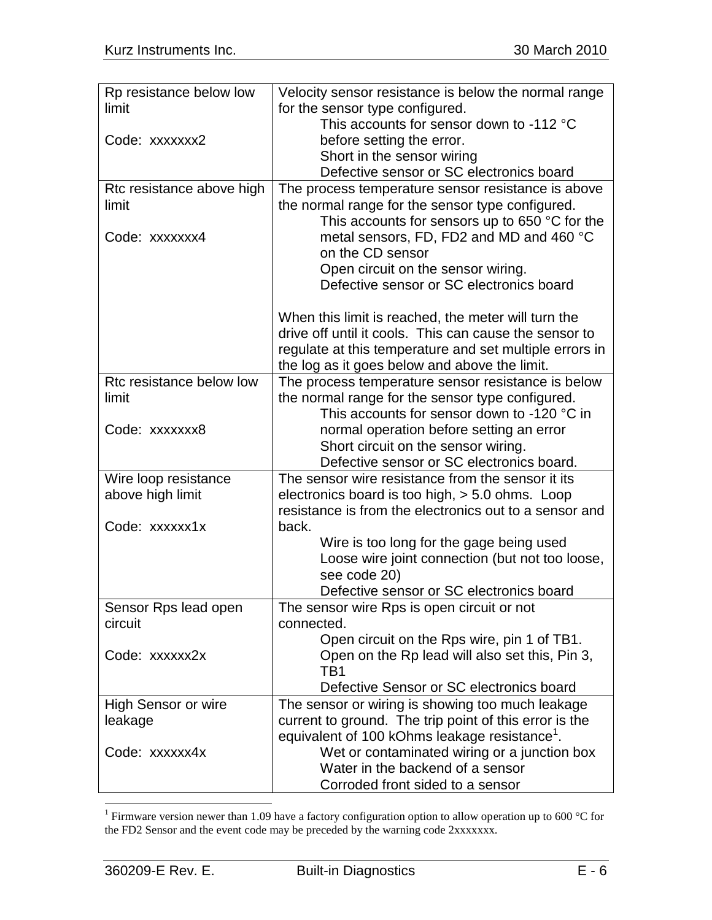| Rp resistance below low         | Velocity sensor resistance is below the normal range                                          |  |
|---------------------------------|-----------------------------------------------------------------------------------------------|--|
| limit                           | for the sensor type configured.                                                               |  |
|                                 | This accounts for sensor down to -112 °C                                                      |  |
| Code: xxxxxxx2                  | before setting the error.                                                                     |  |
|                                 | Short in the sensor wiring                                                                    |  |
|                                 | Defective sensor or SC electronics board                                                      |  |
| Rtc resistance above high       | The process temperature sensor resistance is above                                            |  |
| limit                           | the normal range for the sensor type configured.                                              |  |
|                                 | This accounts for sensors up to 650 $\degree$ C for the                                       |  |
| Code: xxxxxxx4                  | metal sensors, FD, FD2 and MD and 460 °C                                                      |  |
|                                 | on the CD sensor                                                                              |  |
|                                 | Open circuit on the sensor wiring.                                                            |  |
|                                 | Defective sensor or SC electronics board                                                      |  |
|                                 | When this limit is reached, the meter will turn the                                           |  |
|                                 | drive off until it cools. This can cause the sensor to                                        |  |
|                                 | regulate at this temperature and set multiple errors in                                       |  |
|                                 | the log as it goes below and above the limit.                                                 |  |
| Rtc resistance below low        | The process temperature sensor resistance is below                                            |  |
| limit                           | the normal range for the sensor type configured.                                              |  |
|                                 | This accounts for sensor down to -120 °C in                                                   |  |
| Code: xxxxxxx8                  | normal operation before setting an error                                                      |  |
|                                 | Short circuit on the sensor wiring.                                                           |  |
|                                 | Defective sensor or SC electronics board.                                                     |  |
| Wire loop resistance            | The sensor wire resistance from the sensor it its                                             |  |
| above high limit                | electronics board is too high, > 5.0 ohms. Loop                                               |  |
|                                 | resistance is from the electronics out to a sensor and                                        |  |
| Code: xxxxxx1x                  | back.                                                                                         |  |
|                                 | Wire is too long for the gage being used                                                      |  |
|                                 | Loose wire joint connection (but not too loose,                                               |  |
|                                 | see code 20)                                                                                  |  |
|                                 | Defective sensor or SC electronics board                                                      |  |
| Sensor Rps lead open<br>circuit | The sensor wire Rps is open circuit or not                                                    |  |
|                                 | connected.                                                                                    |  |
| Code: xxxxxx2x                  | Open circuit on the Rps wire, pin 1 of TB1.<br>Open on the Rp lead will also set this, Pin 3, |  |
|                                 | TB1                                                                                           |  |
|                                 | Defective Sensor or SC electronics board                                                      |  |
| High Sensor or wire             | The sensor or wiring is showing too much leakage                                              |  |
| leakage                         | current to ground. The trip point of this error is the                                        |  |
|                                 | equivalent of 100 kOhms leakage resistance <sup>1</sup> .                                     |  |
| Code: xxxxxx4x                  | Wet or contaminated wiring or a junction box                                                  |  |
|                                 | Water in the backend of a sensor                                                              |  |
|                                 | Corroded front sided to a sensor                                                              |  |

<sup>&</sup>lt;sup>1</sup> Firmware version newer than 1.09 have a factory configuration option to allow operation up to 600 °C for the FD2 Sensor and the event code may be preceded by the warning code 2xxxxxxx.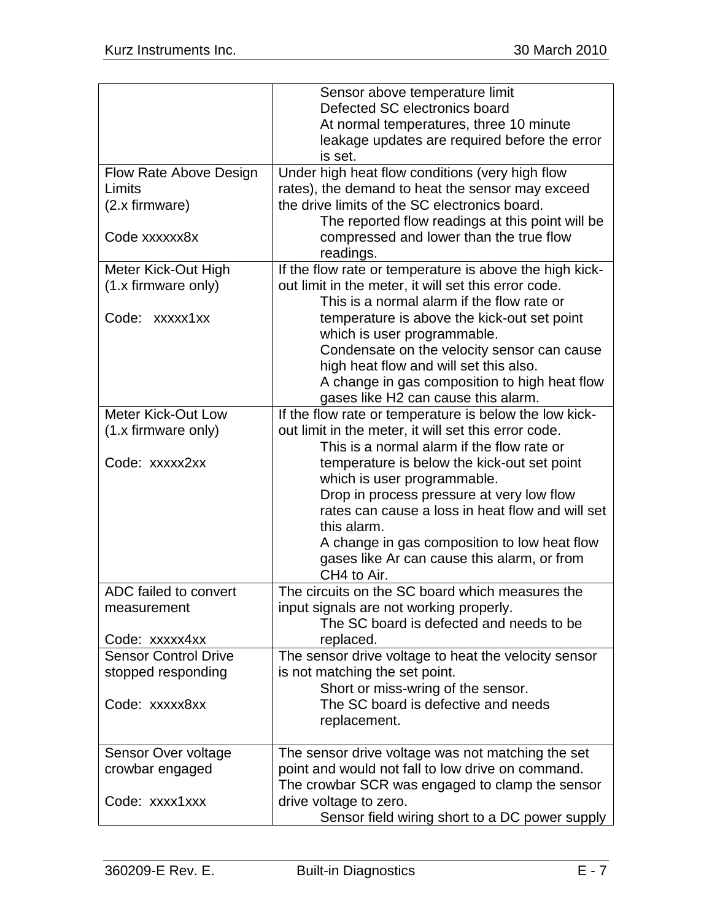|                               | Sensor above temperature limit                          |  |  |
|-------------------------------|---------------------------------------------------------|--|--|
|                               | Defected SC electronics board                           |  |  |
|                               | At normal temperatures, three 10 minute                 |  |  |
|                               | leakage updates are required before the error           |  |  |
|                               | is set.                                                 |  |  |
| <b>Flow Rate Above Design</b> | Under high heat flow conditions (very high flow         |  |  |
| Limits                        | rates), the demand to heat the sensor may exceed        |  |  |
| $(2.x$ firmware)              | the drive limits of the SC electronics board.           |  |  |
|                               | The reported flow readings at this point will be        |  |  |
| Code xxxxxx8x                 | compressed and lower than the true flow                 |  |  |
|                               | readings.                                               |  |  |
| Meter Kick-Out High           | If the flow rate or temperature is above the high kick- |  |  |
| (1.x firmware only)           | out limit in the meter, it will set this error code.    |  |  |
|                               | This is a normal alarm if the flow rate or              |  |  |
|                               |                                                         |  |  |
| Code: xxxxx1xx                | temperature is above the kick-out set point             |  |  |
|                               | which is user programmable.                             |  |  |
|                               | Condensate on the velocity sensor can cause             |  |  |
|                               | high heat flow and will set this also.                  |  |  |
|                               | A change in gas composition to high heat flow           |  |  |
|                               | gases like H2 can cause this alarm.                     |  |  |
| <b>Meter Kick-Out Low</b>     | If the flow rate or temperature is below the low kick-  |  |  |
| (1.x firmware only)           | out limit in the meter, it will set this error code.    |  |  |
|                               | This is a normal alarm if the flow rate or              |  |  |
| Code: xxxxx2xx                | temperature is below the kick-out set point             |  |  |
|                               | which is user programmable.                             |  |  |
|                               | Drop in process pressure at very low flow               |  |  |
|                               | rates can cause a loss in heat flow and will set        |  |  |
|                               | this alarm.                                             |  |  |
|                               | A change in gas composition to low heat flow            |  |  |
|                               | gases like Ar can cause this alarm, or from             |  |  |
|                               | CH4 to Air.                                             |  |  |
| ADC failed to convert         | The circuits on the SC board which measures the         |  |  |
| measurement                   | input signals are not working properly.                 |  |  |
|                               | The SC board is defected and needs to be                |  |  |
| Code: xxxxx4xx                | replaced.                                               |  |  |
| <b>Sensor Control Drive</b>   | The sensor drive voltage to heat the velocity sensor    |  |  |
| stopped responding            | is not matching the set point.                          |  |  |
|                               | Short or miss-wring of the sensor.                      |  |  |
| Code: xxxxx8xx                | The SC board is defective and needs                     |  |  |
|                               | replacement.                                            |  |  |
|                               |                                                         |  |  |
| Sensor Over voltage           | The sensor drive voltage was not matching the set       |  |  |
| crowbar engaged               | point and would not fall to low drive on command.       |  |  |
|                               | The crowbar SCR was engaged to clamp the sensor         |  |  |
| Code: xxxx1xxx                | drive voltage to zero.                                  |  |  |
|                               | Sensor field wiring short to a DC power supply          |  |  |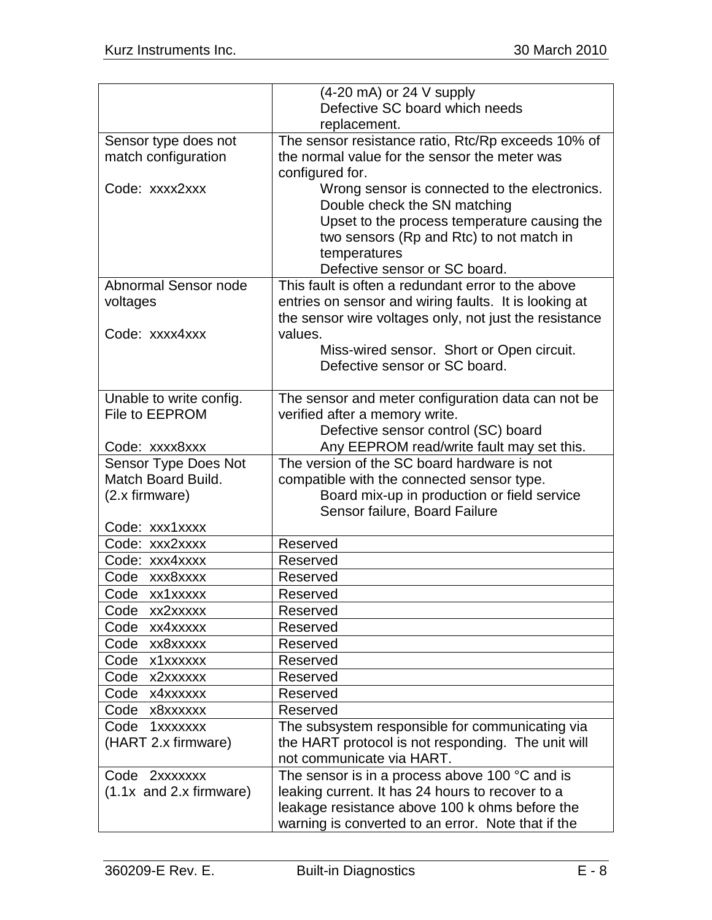|                             | $(4-20 \text{ mA})$ or 24 V supply                      |  |
|-----------------------------|---------------------------------------------------------|--|
|                             | Defective SC board which needs                          |  |
|                             | replacement.                                            |  |
| Sensor type does not        | The sensor resistance ratio, Rtc/Rp exceeds 10% of      |  |
| match configuration         | the normal value for the sensor the meter was           |  |
|                             | configured for.                                         |  |
| Code: xxxx2xxx              | Wrong sensor is connected to the electronics.           |  |
|                             | Double check the SN matching                            |  |
|                             | Upset to the process temperature causing the            |  |
|                             | two sensors (Rp and Rtc) to not match in                |  |
|                             | temperatures                                            |  |
|                             | Defective sensor or SC board.                           |  |
| Abnormal Sensor node        | This fault is often a redundant error to the above      |  |
| voltages                    | entries on sensor and wiring faults. It is looking at   |  |
|                             | the sensor wire voltages only, not just the resistance  |  |
| Code: xxxx4xxx              | values.                                                 |  |
|                             | Miss-wired sensor. Short or Open circuit.               |  |
|                             | Defective sensor or SC board.                           |  |
|                             |                                                         |  |
| Unable to write config.     | The sensor and meter configuration data can not be      |  |
| File to EEPROM              | verified after a memory write.                          |  |
|                             | Defective sensor control (SC) board                     |  |
| Code: xxxx8xxx              | Any EEPROM read/write fault may set this.               |  |
| <b>Sensor Type Does Not</b> | The version of the SC board hardware is not             |  |
| <b>Match Board Build.</b>   | compatible with the connected sensor type.              |  |
| (2.x firmware)              | Board mix-up in production or field service             |  |
|                             | Sensor failure, Board Failure                           |  |
| Code: xxx1xxxx              |                                                         |  |
| Code: xxx2xxxx              | Reserved                                                |  |
| Code: xxx4xxxx              | Reserved                                                |  |
| Code xxx8xxxx               | Reserved                                                |  |
| Code xx1xxxxx               | Reserved                                                |  |
| Code<br>xx2xxxxx            | Reserved                                                |  |
| Code xx4xxxxx               | Reserved                                                |  |
| Code xx8xxxxx               | Reserved                                                |  |
| Code x1xxxxxx               | Reserved                                                |  |
| Code x2xxxxxx               | Reserved                                                |  |
| Code x4xxxxxx               | Reserved                                                |  |
| Code x8xxxxxx               | Reserved                                                |  |
| Code<br>1xxxxxxx            | The subsystem responsible for communicating via         |  |
| (HART 2.x firmware)         | the HART protocol is not responding. The unit will      |  |
|                             | not communicate via HART.                               |  |
| Code 2xxxxxxx               | The sensor is in a process above 100 $\degree$ C and is |  |
| $(1.1x$ and 2.x firmware)   | leaking current. It has 24 hours to recover to a        |  |
|                             | leakage resistance above 100 k ohms before the          |  |
|                             | warning is converted to an error. Note that if the      |  |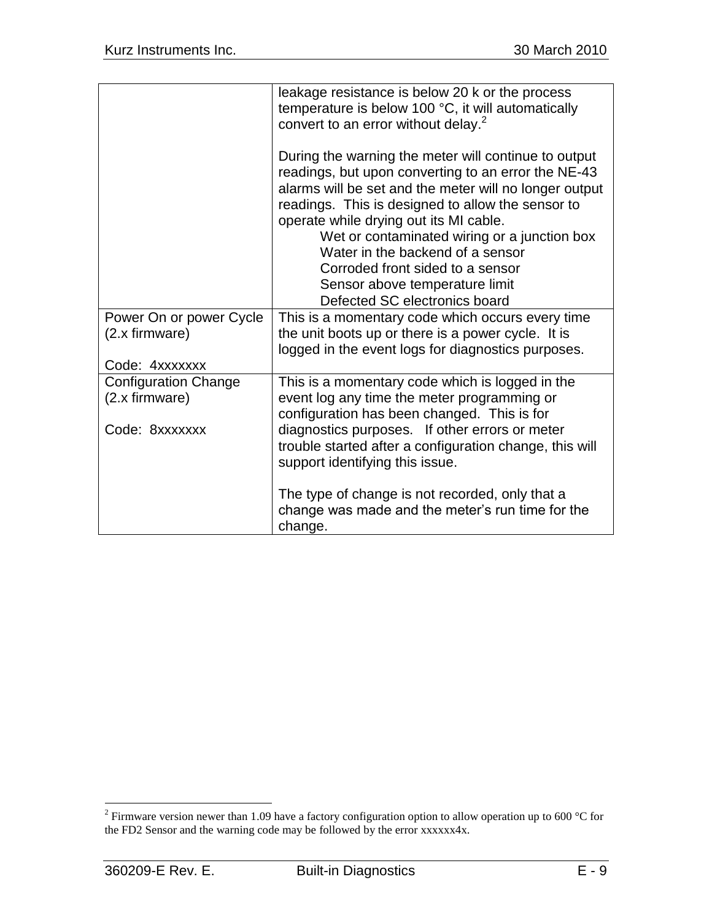|                                           | leakage resistance is below 20 k or the process<br>temperature is below 100 °C, it will automatically<br>convert to an error without delay. <sup>2</sup>                                                                                                                                                                                                                                                                                                        |
|-------------------------------------------|-----------------------------------------------------------------------------------------------------------------------------------------------------------------------------------------------------------------------------------------------------------------------------------------------------------------------------------------------------------------------------------------------------------------------------------------------------------------|
|                                           | During the warning the meter will continue to output<br>readings, but upon converting to an error the NE-43<br>alarms will be set and the meter will no longer output<br>readings. This is designed to allow the sensor to<br>operate while drying out its MI cable.<br>Wet or contaminated wiring or a junction box<br>Water in the backend of a sensor<br>Corroded front sided to a sensor<br>Sensor above temperature limit<br>Defected SC electronics board |
| Power On or power Cycle<br>(2.x firmware) | This is a momentary code which occurs every time<br>the unit boots up or there is a power cycle. It is                                                                                                                                                                                                                                                                                                                                                          |
| Code: 4xxxxxxx                            | logged in the event logs for diagnostics purposes.                                                                                                                                                                                                                                                                                                                                                                                                              |
| <b>Configuration Change</b>               | This is a momentary code which is logged in the                                                                                                                                                                                                                                                                                                                                                                                                                 |
| (2.x firmware)                            | event log any time the meter programming or                                                                                                                                                                                                                                                                                                                                                                                                                     |
|                                           | configuration has been changed. This is for                                                                                                                                                                                                                                                                                                                                                                                                                     |
| Code: 8xxxxxxx                            | diagnostics purposes. If other errors or meter                                                                                                                                                                                                                                                                                                                                                                                                                  |
|                                           | trouble started after a configuration change, this will<br>support identifying this issue.                                                                                                                                                                                                                                                                                                                                                                      |
|                                           | The type of change is not recorded, only that a<br>change was made and the meter's run time for the<br>change.                                                                                                                                                                                                                                                                                                                                                  |

<sup>&</sup>lt;sup>2</sup> Firmware version newer than 1.09 have a factory configuration option to allow operation up to 600 °C for the FD2 Sensor and the warning code may be followed by the error xxxxxx4x.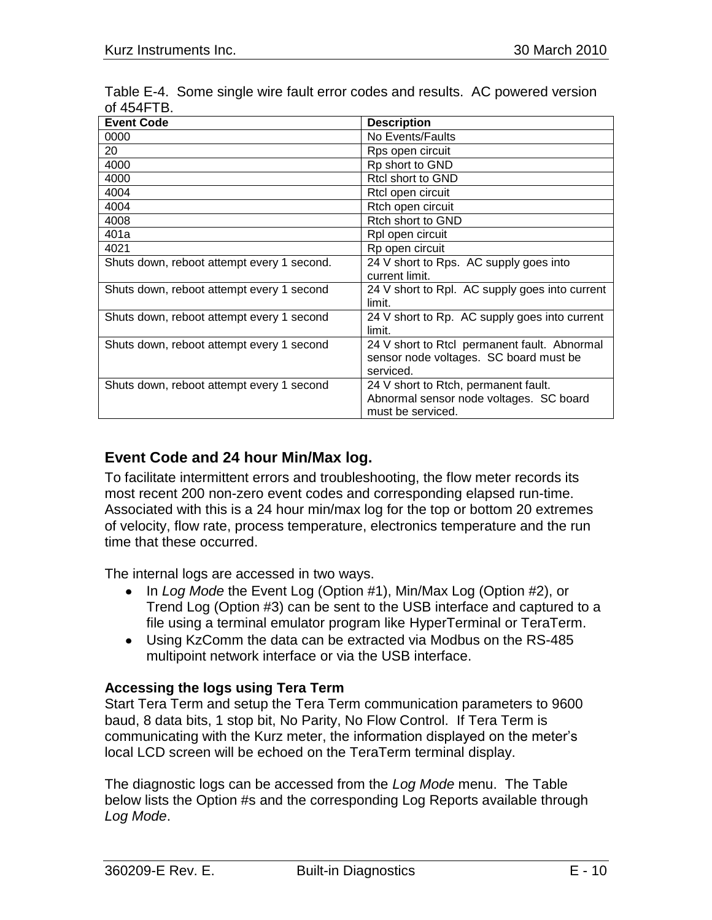| <b>Event Code</b>                          | <b>Description</b>                                                                                   |
|--------------------------------------------|------------------------------------------------------------------------------------------------------|
| 0000                                       | No Events/Faults                                                                                     |
| 20                                         | Rps open circuit                                                                                     |
| 4000                                       | Rp short to GND                                                                                      |
| 4000                                       | Rtcl short to GND                                                                                    |
| 4004                                       | Rtcl open circuit                                                                                    |
| 4004                                       | Rtch open circuit                                                                                    |
| 4008                                       | Rtch short to GND                                                                                    |
| 401a                                       | Rpl open circuit                                                                                     |
| 4021                                       | Rp open circuit                                                                                      |
| Shuts down, reboot attempt every 1 second. | 24 V short to Rps. AC supply goes into<br>current limit.                                             |
| Shuts down, reboot attempt every 1 second  | 24 V short to Rpl. AC supply goes into current<br>limit.                                             |
| Shuts down, reboot attempt every 1 second  | 24 V short to Rp. AC supply goes into current<br>limit.                                              |
| Shuts down, reboot attempt every 1 second  | 24 V short to Rtcl permanent fault. Abnormal<br>sensor node voltages. SC board must be<br>serviced.  |
| Shuts down, reboot attempt every 1 second  | 24 V short to Rtch, permanent fault.<br>Abnormal sensor node voltages. SC board<br>must be serviced. |

Table E-4. Some single wire fault error codes and results. AC powered version of 454FTB.

## **Event Code and 24 hour Min/Max log.**

To facilitate intermittent errors and troubleshooting, the flow meter records its most recent 200 non-zero event codes and corresponding elapsed run-time. Associated with this is a 24 hour min/max log for the top or bottom 20 extremes of velocity, flow rate, process temperature, electronics temperature and the run time that these occurred.

The internal logs are accessed in two ways.

- In *Log Mode* the Event Log (Option #1), Min/Max Log (Option #2), or Trend Log (Option #3) can be sent to the USB interface and captured to a file using a terminal emulator program like HyperTerminal or TeraTerm.
- Using KzComm the data can be extracted via Modbus on the RS-485 multipoint network interface or via the USB interface.

## **Accessing the logs using Tera Term**

Start Tera Term and setup the Tera Term communication parameters to 9600 baud, 8 data bits, 1 stop bit, No Parity, No Flow Control. If Tera Term is communicating with the Kurz meter, the information displayed on the meter"s local LCD screen will be echoed on the TeraTerm terminal display.

The diagnostic logs can be accessed from the *Log Mode* menu. The Table below lists the Option #s and the corresponding Log Reports available through *Log Mode*.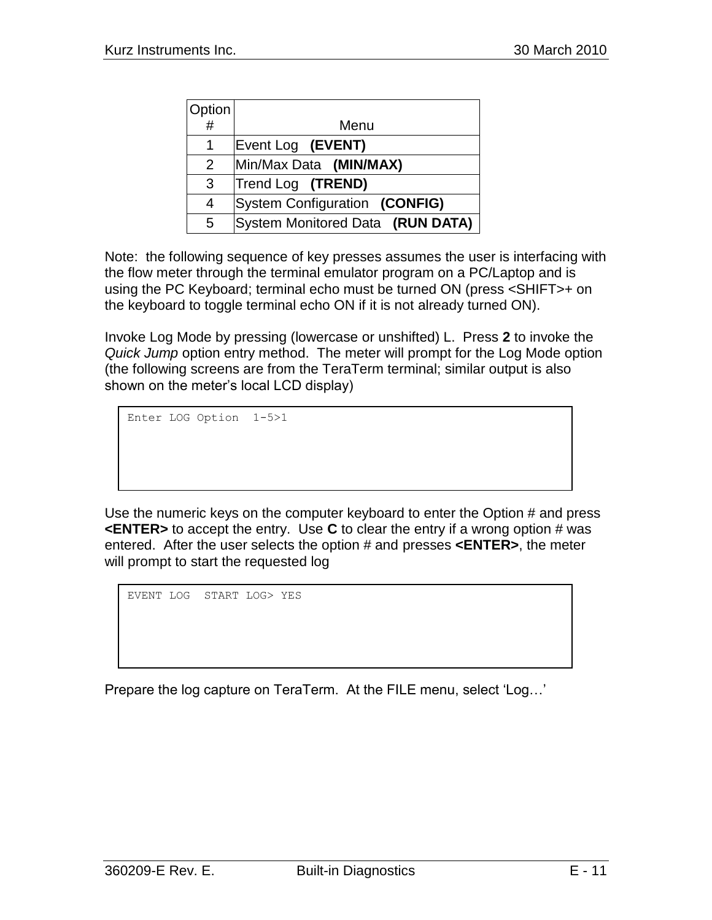| Option |                                  |
|--------|----------------------------------|
| #      | Menu                             |
| 1      | Event Log (EVENT)                |
| 2      | Min/Max Data (MIN/MAX)           |
| 3      | Trend Log (TREND)                |
| 4      | System Configuration (CONFIG)    |
| 5      | System Monitored Data (RUN DATA) |

Note: the following sequence of key presses assumes the user is interfacing with the flow meter through the terminal emulator program on a PC/Laptop and is using the PC Keyboard; terminal echo must be turned ON (press <SHIFT>+ on the keyboard to toggle terminal echo ON if it is not already turned ON).

Invoke Log Mode by pressing (lowercase or unshifted) L. Press **2** to invoke the *Quick Jump* option entry method. The meter will prompt for the Log Mode option (the following screens are from the TeraTerm terminal; similar output is also shown on the meter"s local LCD display)

```
Enter LOG Option 1-5>1
```
Use the numeric keys on the computer keyboard to enter the Option # and press **<ENTER>** to accept the entry. Use **C** to clear the entry if a wrong option # was entered. After the user selects the option # and presses **<ENTER>**, the meter will prompt to start the requested log

EVENT LOG START LOG> YES

Prepare the log capture on TeraTerm. At the FILE menu, select "Log…"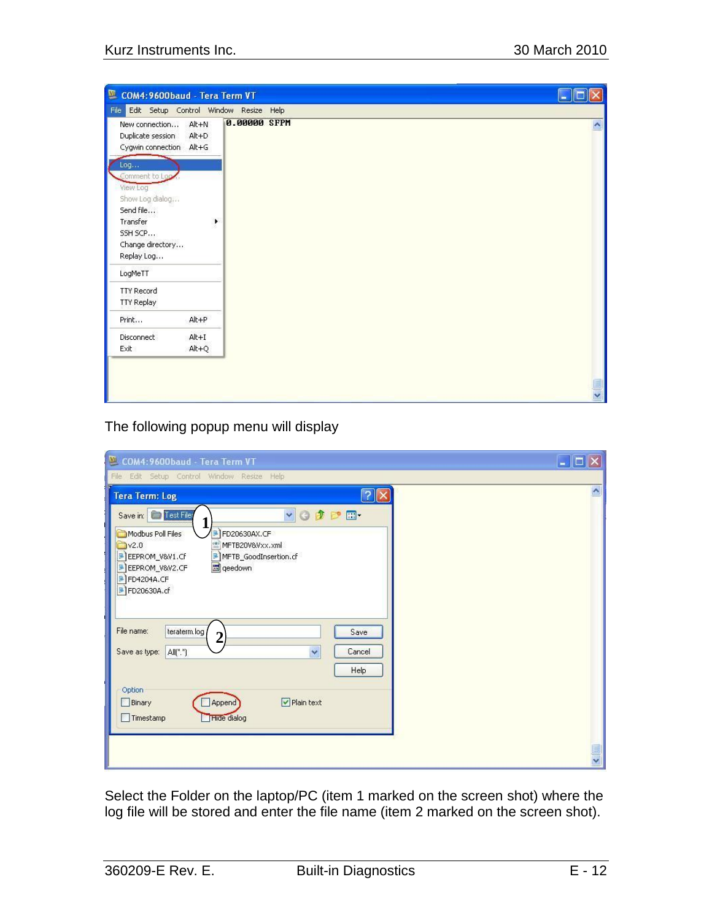| 匷<br>COM4:9600baud - Tera Term VT                                                                                                     |                      |              |                    |
|---------------------------------------------------------------------------------------------------------------------------------------|----------------------|--------------|--------------------|
| File Edit Setup Control Window Resize Help                                                                                            |                      |              |                    |
| New connection<br>Duplicate session<br>Cygwin connection Alt+G                                                                        | Alt+N<br>$Alt+D$     | 0.00000 SFPM | $\hat{\mathbf{r}}$ |
| Log<br>Comment to Loo<br>View Log<br>Show Log dialog<br>Send file<br>Transfer<br>SSH SCP<br>Change directory<br>Replay Log<br>LogMeTT | ۲                    |              |                    |
| <b>TTY Record</b><br><b>TTY Replay</b>                                                                                                |                      |              |                    |
| Print                                                                                                                                 | $Alt + P$            |              |                    |
| Disconnect<br>Exit                                                                                                                    | $Alt+I$<br>$Alt + Q$ |              |                    |
|                                                                                                                                       |                      |              | $\frac{1}{2}$      |

## The following popup menu will display

| COM4:9600baud - Tera Term VT                                                                                                                                                                                                                                                                                                                                                                                                    | $\blacksquare$ $\blacksquare$ |
|---------------------------------------------------------------------------------------------------------------------------------------------------------------------------------------------------------------------------------------------------------------------------------------------------------------------------------------------------------------------------------------------------------------------------------|-------------------------------|
| File Edit Setup Control Window Resize Help                                                                                                                                                                                                                                                                                                                                                                                      |                               |
| $\frac{2}{x}$<br><b>Tera Term: Log</b>                                                                                                                                                                                                                                                                                                                                                                                          |                               |
| Save in: <b>D</b> Test File<br>votpm.<br>Modbus Poll Files<br>FD20630AX.CF<br>MFTB20V&Vxx.xml<br>V <sub>2.0</sub><br>EEPROM_V&V1.CF<br>MFTB_GoodInsertion.cf<br>EEPROM_V&V2.CF<br>deedown<br>FD4204A.CF<br>FD20630A.cf<br>File name:<br>teraterm.log/<br>Save<br>$\overline{2}$<br>Y<br>$All[^{\ast,\ast}]$<br>Cancel<br>Save as type:<br>Help<br>Option<br>$\nabla$ Plain text<br>Binary<br>Append<br>Timestamp<br>Hide dialog |                               |
|                                                                                                                                                                                                                                                                                                                                                                                                                                 |                               |

Select the Folder on the laptop/PC (item 1 marked on the screen shot) where the log file will be stored and enter the file name (item 2 marked on the screen shot).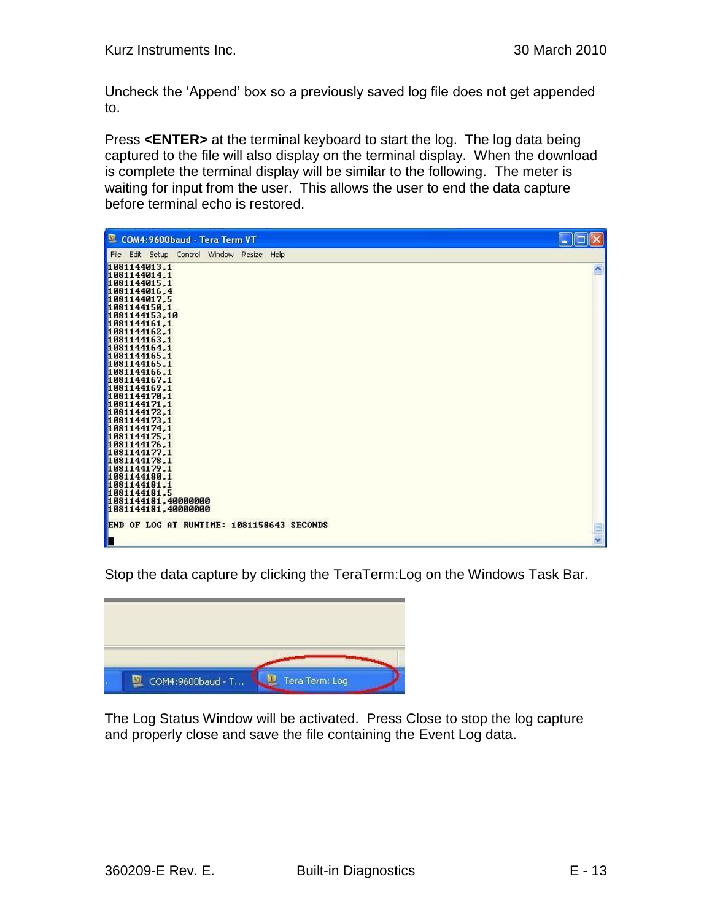Uncheck the "Append" box so a previously saved log file does not get appended to.

Press **<ENTER>** at the terminal keyboard to start the log. The log data being captured to the file will also display on the terminal display. When the download is complete the terminal display will be similar to the following. The meter is waiting for input from the user. This allows the user to end the data capture before terminal echo is restored.



Stop the data capture by clicking the TeraTerm:Log on the Windows Task Bar.

| COM4:9600baud - T | Tera Term: Log |
|-------------------|----------------|

The Log Status Window will be activated. Press Close to stop the log capture and properly close and save the file containing the Event Log data.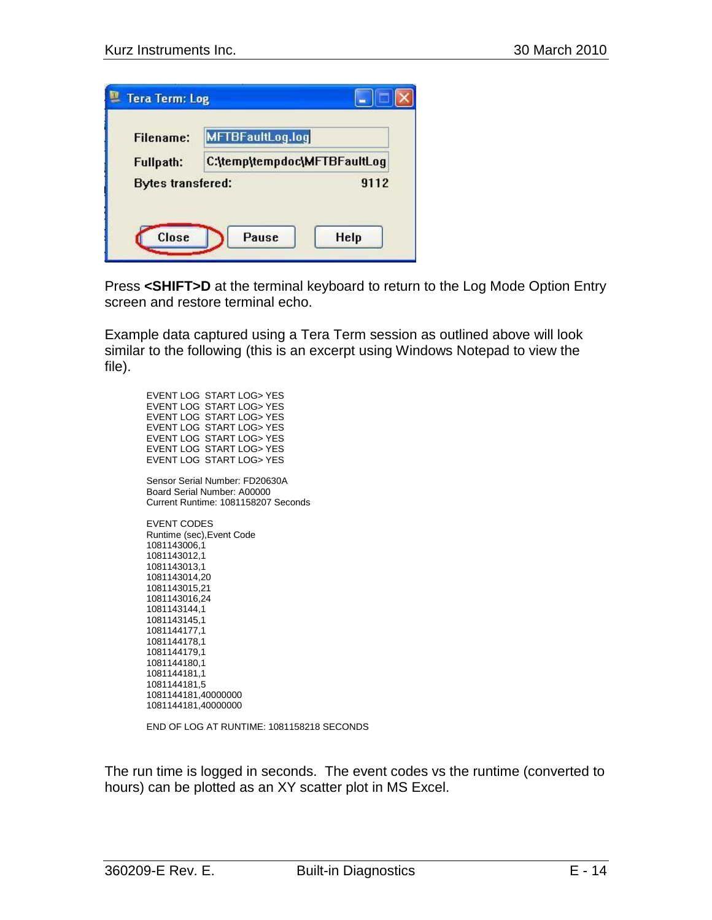|                          | MFTBFaultLog.log             |  |
|--------------------------|------------------------------|--|
| <b>Fullpath:</b>         | C:\temp\tempdoc\MFTBFaultLog |  |
| <b>Bytes transfered:</b> | 9112                         |  |

Press **<SHIFT>D** at the terminal keyboard to return to the Log Mode Option Entry screen and restore terminal echo.

Example data captured using a Tera Term session as outlined above will look similar to the following (this is an excerpt using Windows Notepad to view the file).

EVENT LOG START LOG> YES EVENT LOG START LOG> YES EVENT LOG START LOG> YES EVENT LOG START LOG> YES EVENT LOG START LOG> YES EVENT LOG START LOG> YES EVENT LOG START LOG> YES Sensor Serial Number: FD20630A Board Serial Number: A00000 Current Runtime: 1081158207 Seconds EVENT CODES Runtime (sec),Event Code 1081143006,1 1081143012,1 1081143013,1 1081143014,20 1081143015,21 1081143016,24 1081143144,1 1081143145,1 1081144177,1 1081144178,1 1081144179,1 1081144180,1 1081144181,1 1081144181,5 1081144181,40000000 1081144181,40000000

END OF LOG AT RUNTIME: 1081158218 SECONDS

The run time is logged in seconds. The event codes vs the runtime (converted to hours) can be plotted as an XY scatter plot in MS Excel.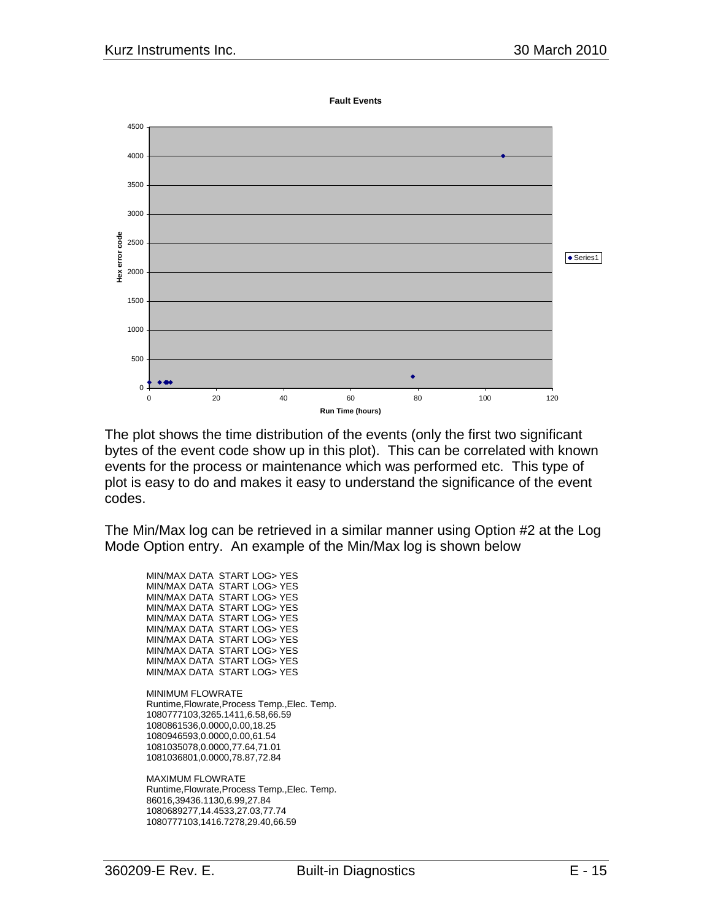**Fault Events**



The plot shows the time distribution of the events (only the first two significant bytes of the event code show up in this plot). This can be correlated with known events for the process or maintenance which was performed etc. This type of plot is easy to do and makes it easy to understand the significance of the event codes.

The Min/Max log can be retrieved in a similar manner using Option #2 at the Log Mode Option entry. An example of the Min/Max log is shown below

MIN/MAX DATA START LOG> YES MIN/MAX DATA START LOG> YES MIN/MAX DATA START LOG> YES MIN/MAX DATA START LOG> YES MIN/MAX DATA START LOG> YES MIN/MAX DATA START LOG> YES MIN/MAX DATA START LOG> YES MIN/MAX DATA START LOG> YES MIN/MAX DATA START LOG> YES MIN/MAX DATA START LOG> YES

MINIMUM FLOWRATE Runtime,Flowrate,Process Temp.,Elec. Temp. 1080777103,3265.1411,6.58,66.59 1080861536,0.0000,0.00,18.25 1080946593,0.0000,0.00,61.54 1081035078,0.0000,77.64,71.01 1081036801,0.0000,78.87,72.84

MAXIMUM FLOWRATE Runtime,Flowrate,Process Temp.,Elec. Temp. 86016,39436.1130,6.99,27.84 1080689277,14.4533,27.03,77.74 1080777103,1416.7278,29.40,66.59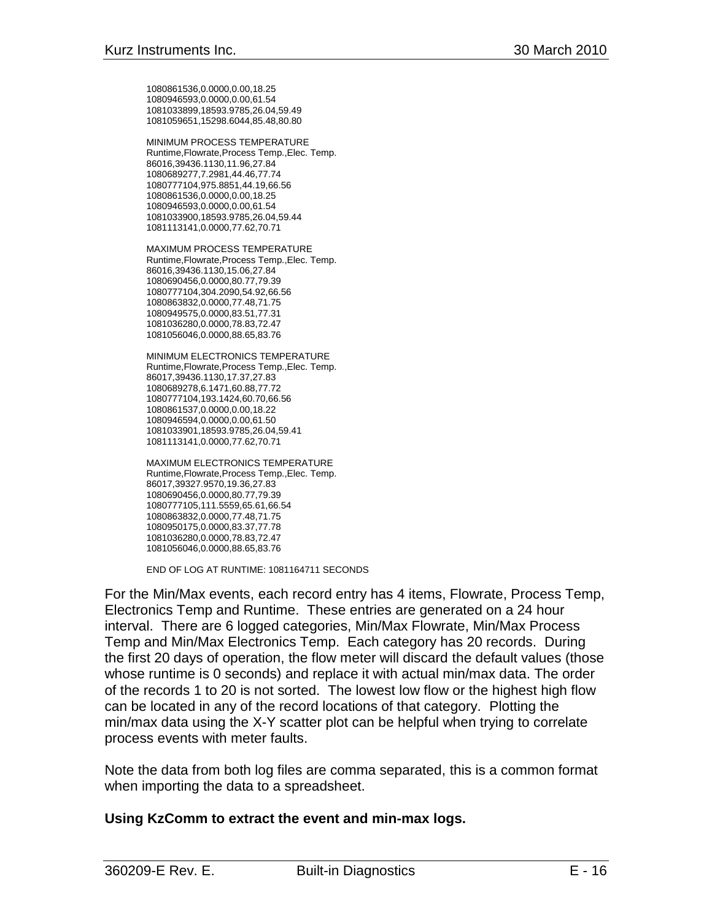1080861536,0.0000,0.00,18.25 1080946593,0.0000,0.00,61.54 1081033899,18593.9785,26.04,59.49 1081059651,15298.6044,85.48,80.80

MINIMUM PROCESS TEMPERATURE Runtime,Flowrate,Process Temp.,Elec. Temp. 86016,39436.1130,11.96,27.84 1080689277,7.2981,44.46,77.74 1080777104,975.8851,44.19,66.56 1080861536,0.0000,0.00,18.25 1080946593,0.0000,0.00,61.54 1081033900,18593.9785,26.04,59.44 1081113141,0.0000,77.62,70.71

MAXIMUM PROCESS TEMPERATURE Runtime,Flowrate,Process Temp.,Elec. Temp. 86016,39436.1130,15.06,27.84 1080690456,0.0000,80.77,79.39 1080777104,304.2090,54.92,66.56 1080863832,0.0000,77.48,71.75

1080949575,0.0000,83.51,77.31 1081036280,0.0000,78.83,72.47 1081056046,0.0000,88.65,83.76

MINIMUM ELECTRONICS TEMPERATURE Runtime,Flowrate,Process Temp.,Elec. Temp. 86017,39436.1130,17.37,27.83 1080689278,6.1471,60.88,77.72 1080777104,193.1424,60.70,66.56 1080861537,0.0000,0.00,18.22 1080946594,0.0000,0.00,61.50 1081033901,18593.9785,26.04,59.41 1081113141,0.0000,77.62,70.71

MAXIMUM ELECTRONICS TEMPERATURE Runtime,Flowrate,Process Temp.,Elec. Temp. 86017,39327.9570,19.36,27.83 1080690456,0.0000,80.77,79.39 1080777105,111.5559,65.61,66.54 1080863832,0.0000,77.48,71.75 1080950175,0.0000,83.37,77.78 1081036280,0.0000,78.83,72.47 1081056046,0.0000,88.65,83.76

END OF LOG AT RUNTIME: 1081164711 SECONDS

For the Min/Max events, each record entry has 4 items, Flowrate, Process Temp, Electronics Temp and Runtime. These entries are generated on a 24 hour interval. There are 6 logged categories, Min/Max Flowrate, Min/Max Process Temp and Min/Max Electronics Temp. Each category has 20 records. During the first 20 days of operation, the flow meter will discard the default values (those whose runtime is 0 seconds) and replace it with actual min/max data. The order of the records 1 to 20 is not sorted. The lowest low flow or the highest high flow can be located in any of the record locations of that category. Plotting the min/max data using the X-Y scatter plot can be helpful when trying to correlate process events with meter faults.

Note the data from both log files are comma separated, this is a common format when importing the data to a spreadsheet.

#### **Using KzComm to extract the event and min-max logs.**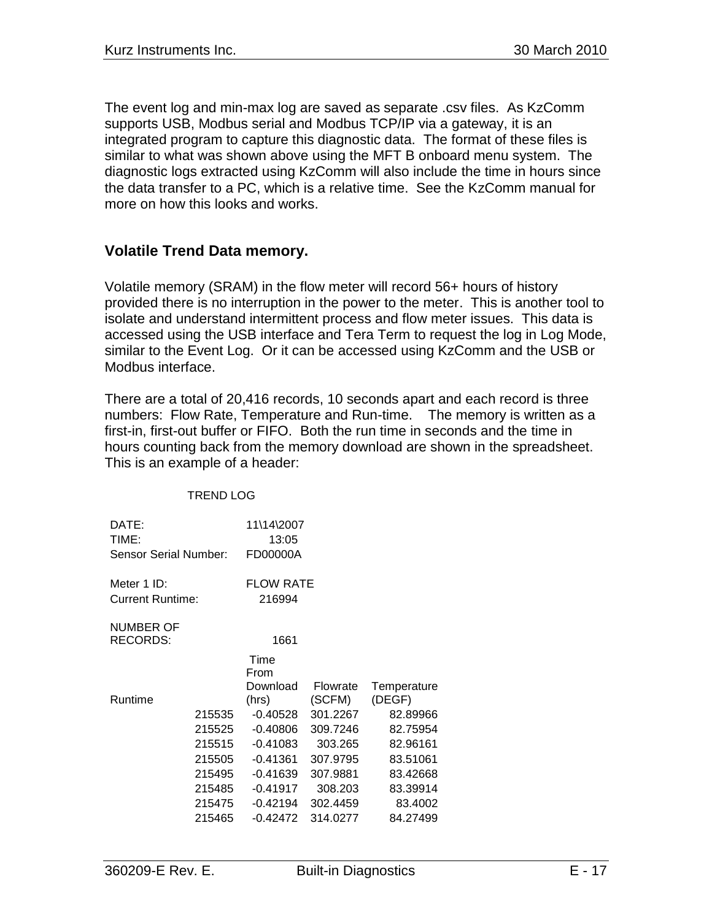The event log and min-max log are saved as separate .csv files. As KzComm supports USB, Modbus serial and Modbus TCP/IP via a gateway, it is an integrated program to capture this diagnostic data. The format of these files is similar to what was shown above using the MFT B onboard menu system. The diagnostic logs extracted using KzComm will also include the time in hours since the data transfer to a PC, which is a relative time. See the KzComm manual for more on how this looks and works.

## **Volatile Trend Data memory.**

Volatile memory (SRAM) in the flow meter will record 56+ hours of history provided there is no interruption in the power to the meter. This is another tool to isolate and understand intermittent process and flow meter issues. This data is accessed using the USB interface and Tera Term to request the log in Log Mode, similar to the Event Log. Or it can be accessed using KzComm and the USB or Modbus interface.

There are a total of 20,416 records, 10 seconds apart and each record is three numbers: Flow Rate, Temperature and Run-time. The memory is written as a first-in, first-out buffer or FIFO. Both the run time in seconds and the time in hours counting back from the memory download are shown in the spreadsheet. This is an example of a header:

TREND LOG

| DATE:                   |        | 11\14\2007       |          |             |
|-------------------------|--------|------------------|----------|-------------|
| TIME:                   |        | 13:05            |          |             |
| Sensor Serial Number:   |        | FD00000A         |          |             |
| Meter 1 ID:             |        | <b>FLOW RATE</b> |          |             |
| <b>Current Runtime:</b> |        | 216994           |          |             |
| <b>NUMBER OF</b>        |        |                  |          |             |
| <b>RECORDS:</b>         |        | 1661             |          |             |
|                         |        | Time             |          |             |
|                         |        | From             |          |             |
|                         |        | Download         | Flowrate | Temperature |
| Runtime                 |        | (hrs)            | (SCFM)   | (DEGF)      |
|                         | 215535 | $-0.40528$       | 301.2267 | 82.89966    |
|                         | 215525 | $-0.40806$       | 309.7246 | 82.75954    |
|                         | 215515 | $-0.41083$       | 303.265  | 82.96161    |
|                         | 215505 | $-0.41361$       | 307.9795 | 83.51061    |
|                         | 215495 | $-0.41639$       | 307.9881 | 83.42668    |
|                         | 215485 | $-0.41917$       | 308.203  | 83.39914    |
|                         | 215475 | $-0.42194$       | 302.4459 | 83.4002     |
|                         | 215465 | $-0.42472$       | 314.0277 | 84.27499    |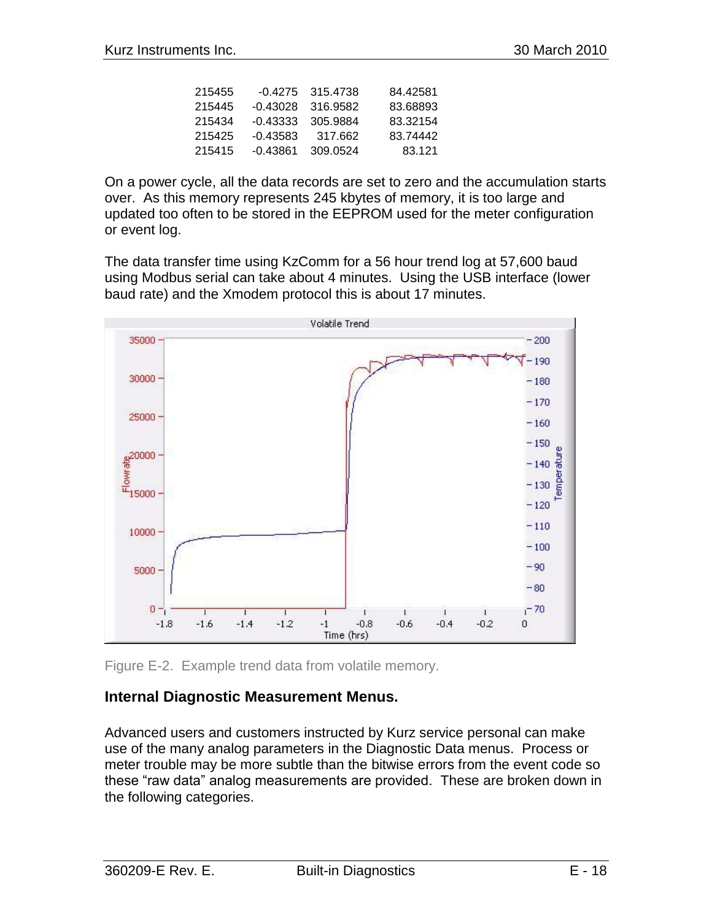|          |           | 84.42581                                              |
|----------|-----------|-------------------------------------------------------|
|          |           | 83.68893                                              |
|          | -305.9884 | 83.32154                                              |
| -0.43583 | 317.662   | 83.74442                                              |
| -0.43861 | 309.0524  | 83.121                                                |
|          |           | $-0.4275$ 315.4738<br>$-0.43028$ 316.9582<br>-0.43333 |

On a power cycle, all the data records are set to zero and the accumulation starts over. As this memory represents 245 kbytes of memory, it is too large and updated too often to be stored in the EEPROM used for the meter configuration or event log.

The data transfer time using KzComm for a 56 hour trend log at 57,600 baud using Modbus serial can take about 4 minutes. Using the USB interface (lower baud rate) and the Xmodem protocol this is about 17 minutes.



Figure E-2. Example trend data from volatile memory.

## **Internal Diagnostic Measurement Menus.**

Advanced users and customers instructed by Kurz service personal can make use of the many analog parameters in the Diagnostic Data menus. Process or meter trouble may be more subtle than the bitwise errors from the event code so these "raw data" analog measurements are provided. These are broken down in the following categories.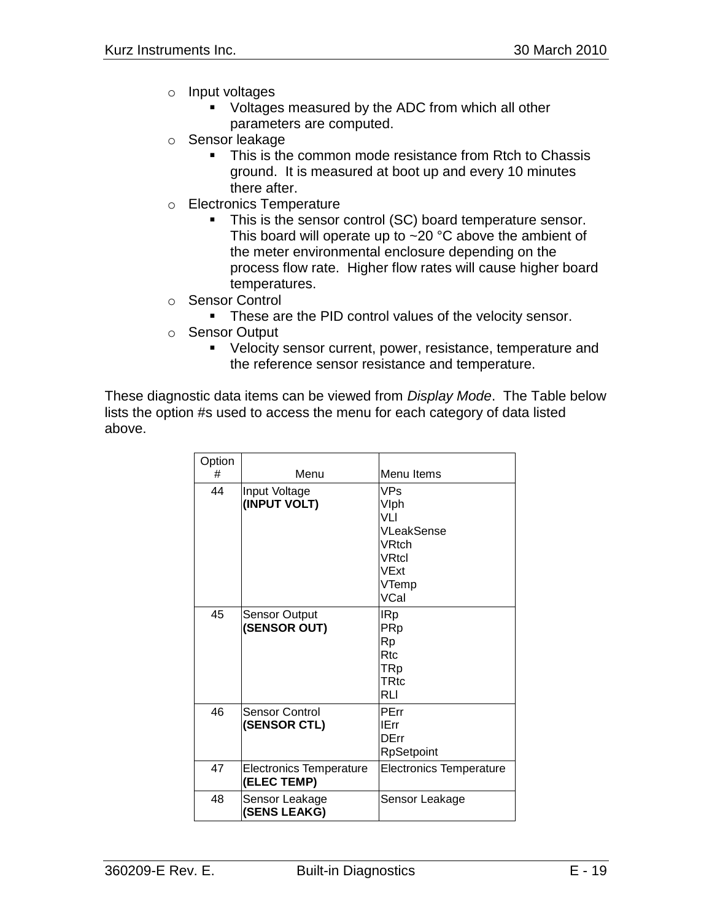- o Input voltages
	- **U** Voltages measured by the ADC from which all other parameters are computed.
- o Sensor leakage
	- This is the common mode resistance from Rtch to Chassis ground. It is measured at boot up and every 10 minutes there after.
- o Electronics Temperature
	- This is the sensor control (SC) board temperature sensor. This board will operate up to  $\sim$  20 °C above the ambient of the meter environmental enclosure depending on the process flow rate. Higher flow rates will cause higher board temperatures.
- o Sensor Control
	- **These are the PID control values of the velocity sensor.**
- o Sensor Output
	- Velocity sensor current, power, resistance, temperature and the reference sensor resistance and temperature.

These diagnostic data items can be viewed from *Display Mode*. The Table below lists the option #s used to access the menu for each category of data listed above.

| Option |                                               |                                                                              |
|--------|-----------------------------------------------|------------------------------------------------------------------------------|
| #      | Menu                                          | Menu Items                                                                   |
| 44     | Input Voltage<br>(INPUT VOLT)                 | VPs<br>Vlph<br>VI I<br>VLeakSense<br>VRtch<br>VRtcl<br>VExt<br>VTemp<br>VCal |
| 45     | <b>Sensor Output</b><br>(SENSOR OUT)          | <b>IRp</b><br>PRp<br>Rp<br>R <sub>tc</sub><br>TRp<br><b>TRtc</b><br>RLI      |
| 46     | Sensor Control<br>(SENSOR CTL)                | PErr<br>IErr<br><b>DErr</b><br><b>RpSetpoint</b>                             |
| 47     | <b>Electronics Temperature</b><br>(ELEC TEMP) | <b>Electronics Temperature</b>                                               |
| 48     | Sensor Leakage<br>(SENS LEAKG)                | Sensor Leakage                                                               |